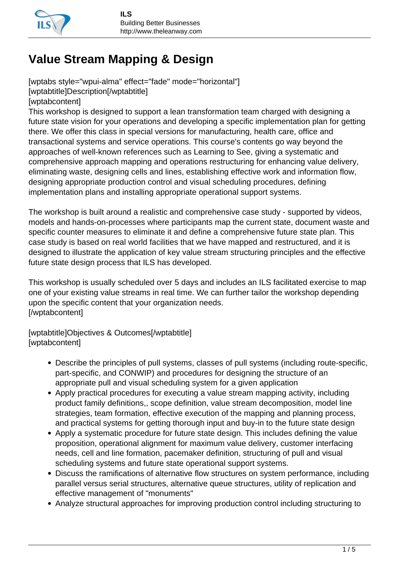

## **Value Stream Mapping & Design**

[wptabs style="wpui-alma" effect="fade" mode="horizontal"] [wptabtitle]Description[/wptabtitle] [wptabcontent] This workshop is designed to support a lean transformation team charged with designing a future state vision for your operations and developing a specific implementation plan for getting there. We offer this class in special versions for manufacturing, health care, office and transactional systems and service operations. This course's contents go way beyond the approaches of well-known references such as Learning to See, giving a systematic and comprehensive approach mapping and operations restructuring for enhancing value delivery, eliminating waste, designing cells and lines, establishing effective work and information flow, designing appropriate production control and visual scheduling procedures, defining implementation plans and installing appropriate operational support systems.

The workshop is built around a realistic and comprehensive case study - supported by videos, models and hands-on-processes where participants map the current state, document waste and specific counter measures to eliminate it and define a comprehensive future state plan. This case study is based on real world facilities that we have mapped and restructured, and it is designed to illustrate the application of key value stream structuring principles and the effective future state design process that ILS has developed.

This workshop is usually scheduled over 5 days and includes an ILS facilitated exercise to map one of your existing value streams in real time. We can further tailor the workshop depending upon the specific content that your organization needs. [/wptabcontent]

[wptabtitle]Objectives & Outcomes[/wptabtitle] [wptabcontent]

- Describe the principles of pull systems, classes of pull systems (including route-specific, part-specific, and CONWIP) and procedures for designing the structure of an appropriate pull and visual scheduling system for a given application
- Apply practical procedures for executing a value stream mapping activity, including product family definitions,, scope definition, value stream decomposition, model line strategies, team formation, effective execution of the mapping and planning process, and practical systems for getting thorough input and buy-in to the future state design
- Apply a systematic procedure for future state design. This includes defining the value proposition, operational alignment for maximum value delivery, customer interfacing needs, cell and line formation, pacemaker definition, structuring of pull and visual scheduling systems and future state operational support systems.
- Discuss the ramifications of alternative flow structures on system performance, including parallel versus serial structures, alternative queue structures, utility of replication and effective management of "monuments"
- Analyze structural approaches for improving production control including structuring to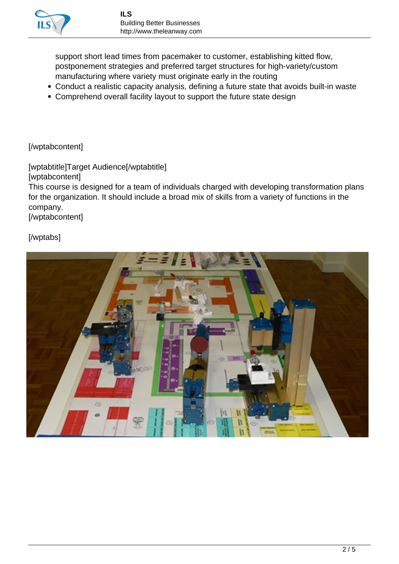

support short lead times from pacemaker to customer, establishing kitted flow, postponement strategies and preferred target structures for high-variety/custom manufacturing where variety must originate early in the routing

- Conduct a realistic capacity analysis, defining a future state that avoids built-in waste
- Comprehend overall facility layout to support the future state design

[/wptabcontent]

[wptabtitle]Target Audience[/wptabtitle] [wptabcontent] This course is designed for a team of individuals charged with developing transformation plans for the organization. It should include a broad mix of skills from a variety of functions in the company.

[/wptabcontent]

[/wptabs]

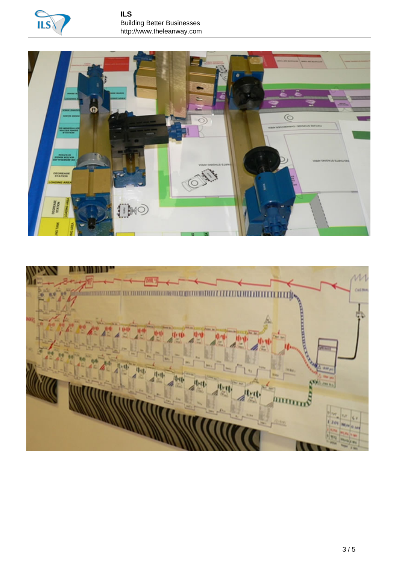



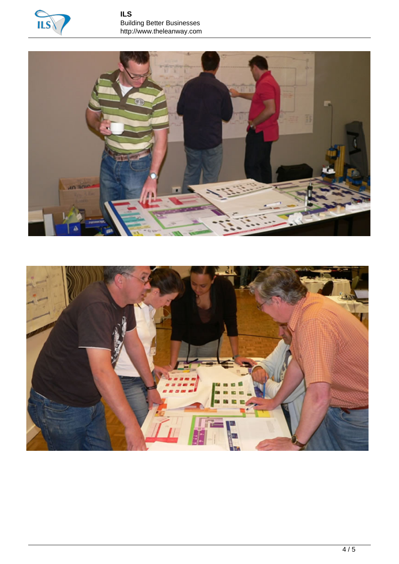